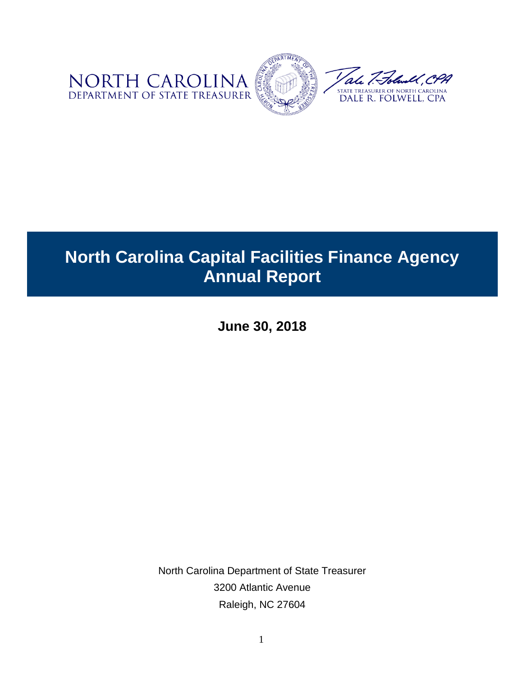

# **North Carolina Capital Facilities Finance Agency Annual Report**

**June 30, 2018**

North Carolina Department of State Treasurer 3200 Atlantic Avenue Raleigh, NC 27604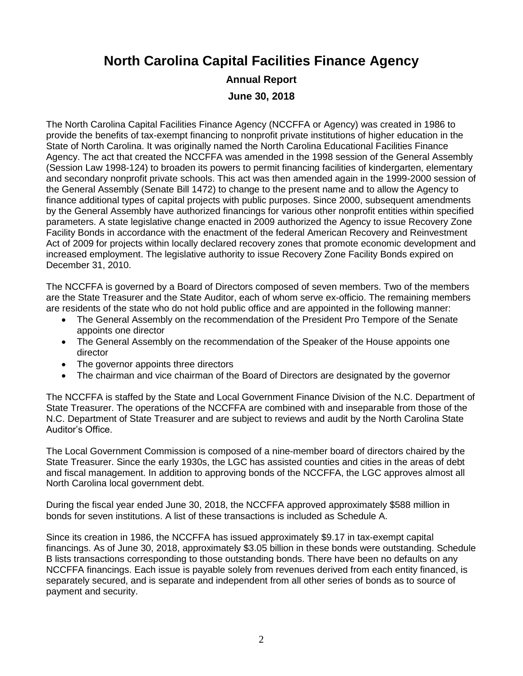**North Carolina Capital Facilities Finance Agency** 

#### **Annual Report June 30, 2018**

The North Carolina Capital Facilities Finance Agency (NCCFFA or Agency) was created in 1986 to provide the benefits of tax-exempt financing to nonprofit private institutions of higher education in the State of North Carolina. It was originally named the North Carolina Educational Facilities Finance Agency. The act that created the NCCFFA was amended in the 1998 session of the General Assembly (Session Law 1998-124) to broaden its powers to permit financing facilities of kindergarten, elementary and secondary nonprofit private schools. This act was then amended again in the 1999-2000 session of the General Assembly (Senate Bill 1472) to change to the present name and to allow the Agency to finance additional types of capital projects with public purposes. Since 2000, subsequent amendments by the General Assembly have authorized financings for various other nonprofit entities within specified parameters. A state legislative change enacted in 2009 authorized the Agency to issue Recovery Zone Facility Bonds in accordance with the enactment of the federal American Recovery and Reinvestment Act of 2009 for projects within locally declared recovery zones that promote economic development and increased employment. The legislative authority to issue Recovery Zone Facility Bonds expired on December 31, 2010.

The NCCFFA is governed by a Board of Directors composed of seven members. Two of the members are the State Treasurer and the State Auditor, each of whom serve ex-officio. The remaining members are residents of the state who do not hold public office and are appointed in the following manner:

- The General Assembly on the recommendation of the President Pro Tempore of the Senate appoints one director
- The General Assembly on the recommendation of the Speaker of the House appoints one director
- The governor appoints three directors
- The chairman and vice chairman of the Board of Directors are designated by the governor

The NCCFFA is staffed by the State and Local Government Finance Division of the N.C. Department of State Treasurer. The operations of the NCCFFA are combined with and inseparable from those of the N.C. Department of State Treasurer and are subject to reviews and audit by the North Carolina State Auditor's Office.

The Local Government Commission is composed of a nine-member board of directors chaired by the State Treasurer. Since the early 1930s, the LGC has assisted counties and cities in the areas of debt and fiscal management. In addition to approving bonds of the NCCFFA, the LGC approves almost all North Carolina local government debt.

During the fiscal year ended June 30, 2018, the NCCFFA approved approximately \$588 million in bonds for seven institutions. A list of these transactions is included as Schedule A.

Since its creation in 1986, the NCCFFA has issued approximately \$9.17 in tax-exempt capital financings. As of June 30, 2018, approximately \$3.05 billion in these bonds were outstanding. Schedule B lists transactions corresponding to those outstanding bonds. There have been no defaults on any NCCFFA financings. Each issue is payable solely from revenues derived from each entity financed, is separately secured, and is separate and independent from all other series of bonds as to source of payment and security.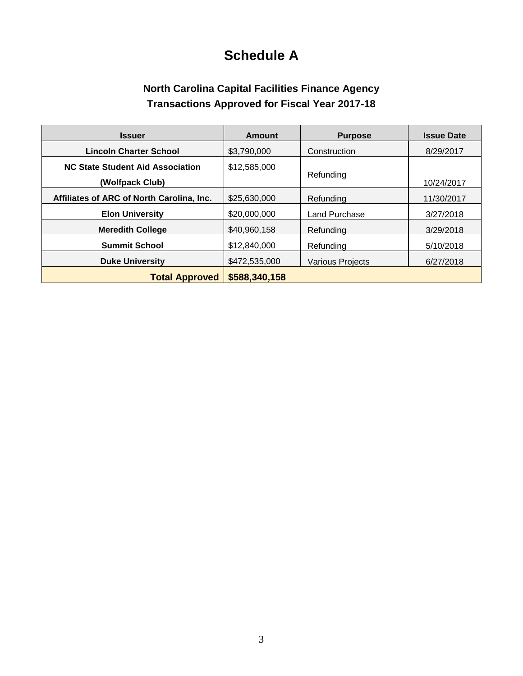## **Schedule A**

### **North Carolina Capital Facilities Finance Agency Transactions Approved for Fiscal Year 2017-18**

| <b>Issuer</b>                                       | Amount        | <b>Purpose</b>          | <b>Issue Date</b> |
|-----------------------------------------------------|---------------|-------------------------|-------------------|
| <b>Lincoln Charter School</b>                       | \$3,790,000   | Construction            | 8/29/2017         |
| NC State Student Aid Association<br>(Wolfpack Club) | \$12,585,000  | Refunding               | 10/24/2017        |
| Affiliates of ARC of North Carolina, Inc.           | \$25,630,000  | Refunding               | 11/30/2017        |
| <b>Elon University</b>                              | \$20,000,000  | Land Purchase           | 3/27/2018         |
| <b>Meredith College</b>                             | \$40,960,158  | Refunding               | 3/29/2018         |
| <b>Summit School</b>                                | \$12,840,000  | Refunding               | 5/10/2018         |
| <b>Duke University</b>                              | \$472,535,000 | <b>Various Projects</b> | 6/27/2018         |
| <b>Total Approved</b>                               | \$588,340,158 |                         |                   |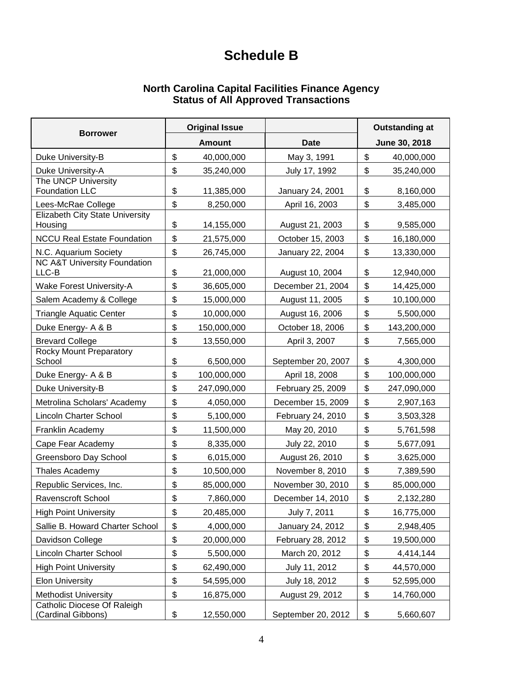### **Schedule B**

#### **North Carolina Capital Facilities Finance Agency Status of All Approved Transactions**

| <b>Borrower</b>                                   | <b>Original Issue</b> |               |                    | <b>Outstanding at</b> |             |
|---------------------------------------------------|-----------------------|---------------|--------------------|-----------------------|-------------|
|                                                   |                       | <b>Amount</b> | <b>Date</b>        | June 30, 2018         |             |
| Duke University-B                                 | \$                    | 40,000,000    | May 3, 1991        | \$                    | 40,000,000  |
| Duke University-A                                 | \$                    | 35,240,000    | July 17, 1992      | \$                    | 35,240,000  |
| The UNCP University<br><b>Foundation LLC</b>      | \$                    | 11,385,000    | January 24, 2001   | \$                    | 8,160,000   |
| Lees-McRae College                                | \$                    | 8,250,000     | April 16, 2003     | \$                    | 3,485,000   |
| <b>Elizabeth City State University</b><br>Housing | \$                    | 14,155,000    | August 21, 2003    | \$                    | 9,585,000   |
| <b>NCCU Real Estate Foundation</b>                | \$                    | 21,575,000    | October 15, 2003   | \$                    | 16,180,000  |
| N.C. Aquarium Society                             | \$                    | 26,745,000    | January 22, 2004   | \$                    | 13,330,000  |
| <b>NC A&amp;T University Foundation</b><br>LLC-B  | \$                    | 21,000,000    | August 10, 2004    | \$                    | 12,940,000  |
| <b>Wake Forest University-A</b>                   | \$                    | 36,605,000    | December 21, 2004  | \$                    | 14,425,000  |
| Salem Academy & College                           | \$                    | 15,000,000    | August 11, 2005    | \$                    | 10,100,000  |
| <b>Triangle Aquatic Center</b>                    | \$                    | 10,000,000    | August 16, 2006    | \$                    | 5,500,000   |
| Duke Energy- A & B                                | \$                    | 150,000,000   | October 18, 2006   | \$                    | 143,200,000 |
| <b>Brevard College</b>                            | \$                    | 13,550,000    | April 3, 2007      | \$                    | 7,565,000   |
| <b>Rocky Mount Preparatory</b><br>School          | \$                    | 6,500,000     | September 20, 2007 | \$                    | 4,300,000   |
| Duke Energy- A & B                                | \$                    | 100,000,000   | April 18, 2008     | \$                    | 100,000,000 |
| Duke University-B                                 | \$                    | 247,090,000   | February 25, 2009  | \$                    | 247,090,000 |
| Metrolina Scholars' Academy                       | \$                    | 4,050,000     | December 15, 2009  | \$                    | 2,907,163   |
| <b>Lincoln Charter School</b>                     | \$                    | 5,100,000     | February 24, 2010  | \$                    | 3,503,328   |
| Franklin Academy                                  | \$                    | 11,500,000    | May 20, 2010       | \$                    | 5,761,598   |
| Cape Fear Academy                                 | \$                    | 8,335,000     | July 22, 2010      | \$                    | 5,677,091   |
| Greensboro Day School                             | \$                    | 6,015,000     | August 26, 2010    | \$                    | 3,625,000   |
| Thales Academy                                    | \$                    | 10,500,000    | November 8, 2010   | \$                    | 7,389,590   |
| Republic Services, Inc.                           | \$                    | 85,000,000    | November 30, 2010  | \$                    | 85,000,000  |
| Ravenscroft School                                | \$                    | 7,860,000     | December 14, 2010  | \$                    | 2,132,280   |
| <b>High Point University</b>                      | \$                    | 20,485,000    | July 7, 2011       | \$                    | 16,775,000  |
| Sallie B. Howard Charter School                   | \$                    | 4,000,000     | January 24, 2012   | \$                    | 2,948,405   |
| Davidson College                                  | \$                    | 20,000,000    | February 28, 2012  | \$                    | 19,500,000  |
| <b>Lincoln Charter School</b>                     | \$                    | 5,500,000     | March 20, 2012     | \$                    | 4,414,144   |
| <b>High Point University</b>                      | \$                    | 62,490,000    | July 11, 2012      | \$                    | 44,570,000  |
| <b>Elon University</b>                            | \$                    | 54,595,000    | July 18, 2012      | \$                    | 52,595,000  |
| <b>Methodist University</b>                       | \$                    | 16,875,000    | August 29, 2012    | \$                    | 14,760,000  |
| Catholic Diocese Of Raleigh<br>(Cardinal Gibbons) | \$                    | 12,550,000    | September 20, 2012 | \$                    | 5,660,607   |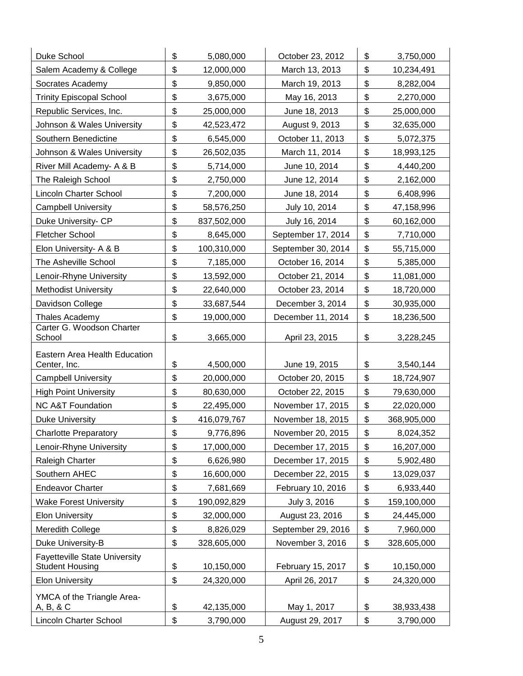| Duke School                                                    | \$                        | 5,080,000   | October 23, 2012   | \$<br>3,750,000   |
|----------------------------------------------------------------|---------------------------|-------------|--------------------|-------------------|
| Salem Academy & College                                        | $\boldsymbol{\mathsf{S}}$ | 12,000,000  | March 13, 2013     | \$<br>10,234,491  |
| Socrates Academy                                               | \$                        | 9,850,000   | March 19, 2013     | \$<br>8,282,004   |
| <b>Trinity Episcopal School</b>                                | \$                        | 3,675,000   | May 16, 2013       | \$<br>2,270,000   |
| Republic Services, Inc.                                        | \$                        | 25,000,000  | June 18, 2013      | \$<br>25,000,000  |
| Johnson & Wales University                                     | \$                        | 42,523,472  | August 9, 2013     | \$<br>32,635,000  |
| Southern Benedictine                                           | \$                        | 6,545,000   | October 11, 2013   | \$<br>5,072,375   |
| Johnson & Wales University                                     | \$                        | 26,502,035  | March 11, 2014     | \$<br>18,993,125  |
| River Mill Academy- A & B                                      | \$                        | 5,714,000   | June 10, 2014      | \$<br>4,440,200   |
| The Raleigh School                                             | \$                        | 2,750,000   | June 12, 2014      | \$<br>2,162,000   |
| Lincoln Charter School                                         | \$                        | 7,200,000   | June 18, 2014      | \$<br>6,408,996   |
| <b>Campbell University</b>                                     | \$                        | 58,576,250  | July 10, 2014      | \$<br>47,158,996  |
| Duke University- CP                                            | \$                        | 837,502,000 | July 16, 2014      | \$<br>60,162,000  |
| Fletcher School                                                | \$                        | 8,645,000   | September 17, 2014 | \$<br>7,710,000   |
| Elon University- A & B                                         | \$                        | 100,310,000 | September 30, 2014 | \$<br>55,715,000  |
| The Asheville School                                           | \$                        | 7,185,000   | October 16, 2014   | \$<br>5,385,000   |
| Lenoir-Rhyne University                                        | \$                        | 13,592,000  | October 21, 2014   | \$<br>11,081,000  |
| <b>Methodist University</b>                                    | \$                        | 22,640,000  | October 23, 2014   | \$<br>18,720,000  |
| Davidson College                                               | \$                        | 33,687,544  | December 3, 2014   | \$<br>30,935,000  |
| Thales Academy                                                 | \$                        | 19,000,000  | December 11, 2014  | \$<br>18,236,500  |
| Carter G. Woodson Charter<br>School                            | \$                        | 3,665,000   | April 23, 2015     | \$<br>3,228,245   |
| Eastern Area Health Education                                  |                           |             |                    |                   |
| Center, Inc.                                                   | \$                        | 4,500,000   | June 19, 2015      | \$<br>3,540,144   |
| <b>Campbell University</b>                                     | \$                        | 20,000,000  | October 20, 2015   | \$<br>18,724,907  |
| <b>High Point University</b>                                   | \$                        | 80,630,000  | October 22, 2015   | \$<br>79,630,000  |
| <b>NC A&amp;T Foundation</b>                                   | \$                        | 22,495,000  | November 17, 2015  | \$<br>22,020,000  |
| <b>Duke University</b>                                         | \$                        | 416,079,767 | November 18, 2015  | \$<br>368,905,000 |
| <b>Charlotte Preparatory</b>                                   | \$                        | 9,776,896   | November 20, 2015  | \$<br>8,024,352   |
| Lenoir-Rhyne University                                        | \$                        | 17,000,000  | December 17, 2015  | \$<br>16,207,000  |
| Raleigh Charter                                                | \$                        | 6,626,980   | December 17, 2015  | \$<br>5,902,480   |
| Southern AHEC                                                  | \$                        | 16,600,000  | December 22, 2015  | \$<br>13,029,037  |
| <b>Endeavor Charter</b>                                        | \$                        | 7,681,669   | February 10, 2016  | \$<br>6,933,440   |
| <b>Wake Forest University</b>                                  | \$                        | 190,092,829 | July 3, 2016       | \$<br>159,100,000 |
| <b>Elon University</b>                                         | \$                        | 32,000,000  | August 23, 2016    | \$<br>24,445,000  |
| Meredith College                                               | \$                        | 8,826,029   | September 29, 2016 | \$<br>7,960,000   |
| Duke University-B                                              | \$                        | 328,605,000 | November 3, 2016   | \$<br>328,605,000 |
| <b>Fayetteville State University</b><br><b>Student Housing</b> | \$                        | 10,150,000  | February 15, 2017  | \$<br>10,150,000  |
| <b>Elon University</b>                                         | \$                        | 24,320,000  | April 26, 2017     | \$<br>24,320,000  |
| YMCA of the Triangle Area-<br>A, B, & C                        | \$                        | 42,135,000  | May 1, 2017        | \$<br>38,933,438  |
| Lincoln Charter School                                         | \$                        | 3,790,000   | August 29, 2017    | \$<br>3,790,000   |